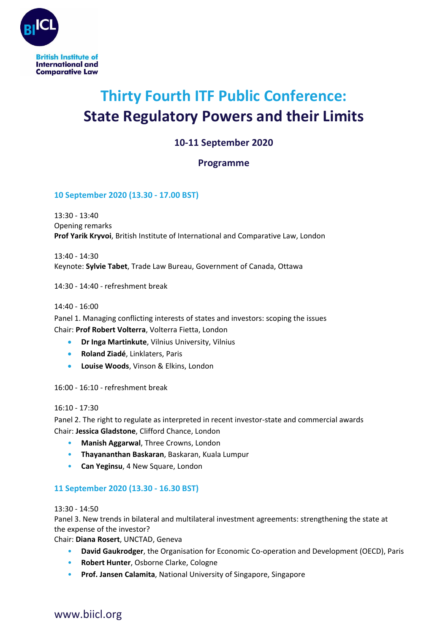

# **Thirty Fourth ITF Public Conference: State Regulatory Powers and their Limits**

## **10-11 September 2020**

### **Programme**

#### **10 September 2020 (13.30 - 17.00 BST)**

13:30 - 13:40 Opening remarks **Prof Yarik Kryvoi**, British Institute of International and Comparative Law, London

13:40 - 14:30 Keynote: **Sylvie Tabet**, Trade Law Bureau, Government of Canada, Ottawa

14:30 - 14:40 - refreshment break

14:40 - 16:00

Panel 1. Managing conflicting interests of states and investors: scoping the issues Chair: **Prof Robert Volterra**, Volterra Fietta, London

- **Dr Inga Martinkute**, Vilnius University, Vilnius
- **Roland Ziadé**, Linklaters, Paris
- **Louise Woods**, Vinson & Elkins, London

16:00 - 16:10 - refreshment break

#### 16:10 - 17:30

Panel 2. The right to regulate as interpreted in recent investor-state and commercial awards Chair: **Jessica Gladstone**, Clifford Chance, London

- **Manish Aggarwal**, Three Crowns, London
- **Thayananthan Baskaran**, Baskaran, Kuala Lumpur
- **Can Yeginsu**, 4 New Square, London

#### **11 September 2020 (13.30 - 16.30 BST)**

13:30 - 14:50

Panel 3. New trends in bilateral and multilateral investment agreements: strengthening the state at the expense of the investor?

Chair: **Diana Rosert**, UNCTAD, Geneva

- **David Gaukrodger**, the Organisation for Economic Co-operation and Development (OECD), Paris
- **Robert Hunter**, Osborne Clarke, Cologne
- **Prof. Jansen Calamita**, National University of Singapore, Singapore

## www.biicl.org